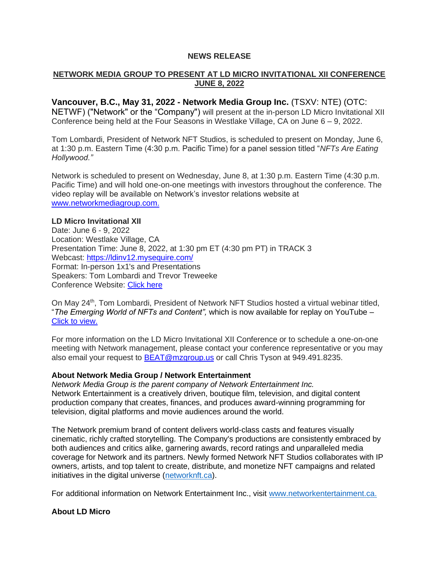# **NEWS RELEASE**

# **NETWORK MEDIA GROUP TO PRESENT AT LD MICRO INVITATIONAL XII CONFERENCE JUNE 8, 2022**

**Vancouver, B.C., May 31, 2022 - Network Media Group Inc.** (TSXV: NTE) (OTC: NETWF) ("Network" or the "Company") will present at the in-person LD Micro Invitational XII Conference being held at the Four Seasons in Westlake Village, CA on June  $6 - 9$ , 2022.

Tom Lombardi, President of Network NFT Studios, is scheduled to present on Monday, June 6, at 1:30 p.m. Eastern Time (4:30 p.m. Pacific Time) for a panel session titled "*NFTs Are Eating Hollywood."*

Network is scheduled to present on Wednesday, June 8, at 1:30 p.m. Eastern Time (4:30 p.m. Pacific Time) and will hold one-on-one meetings with investors throughout the conference. The video replay will be available on Network's investor relations website at [www.networkmediagroup.com.](file:///C:/Users/Kea/Downloads/www.networkmediagroup.com)

#### **LD Micro Invitational XII**

Date: June 6 - 9, 2022 Location: Westlake Village, CA Presentation Time: June 8, 2022, at 1:30 pm ET (4:30 pm PT) in TRACK 3 Webcast:<https://ldinv12.mysequire.com/> Format: In-person 1x1's and Presentations Speakers: Tom Lombardi and Trevor Treweeke Conference Website: [Click here](https://pr.report/czt9R1vG)

On May 24<sup>th</sup>, Tom Lombardi, President of Network NFT Studios hosted a virtual webinar titled, "*The Emerging World of NFTs and Content",* which is now available for replay on YouTube – [Click to view.](https://youtu.be/POrvnNxSEMI)

For more information on the LD Micro Invitational XII Conference or to schedule a one-on-one meeting with Network management, please contact your conference representative or you may also email your request to [BEAT@mzgroup.us](mailto:BEAT@mzgroup.us) or call Chris Tyson at 949.491.8235.

### **About Network Media Group / Network Entertainment**

*Network Media Group is the parent company of Network Entertainment Inc.* Network Entertainment is a creatively driven, boutique film, television, and digital content production company that creates, finances, and produces award-winning programming for television, digital platforms and movie audiences around the world.

The Network premium brand of content delivers world-class casts and features visually cinematic, richly crafted storytelling. The Company's productions are consistently embraced by both audiences and critics alike, garnering awards, record ratings and unparalleled media coverage for Network and its partners. Newly formed Network NFT Studios collaborates with IP owners, artists, and top talent to create, distribute, and monetize NFT campaigns and related initiatives in the digital universe [\(networknft.ca\)](http://networknft.ca/).

For additional information on Network Entertainment Inc., visit [www.networkentertainment.ca.](http://www.networkentertainment.ca/)

### **About LD Micro**